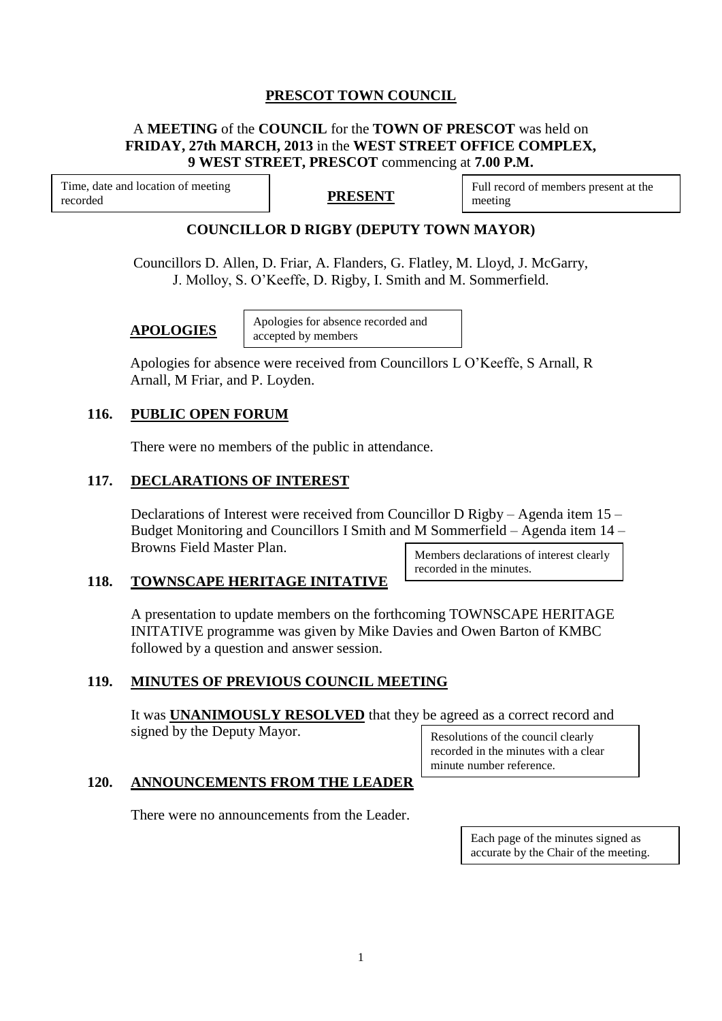# **PRESCOT TOWN COUNCIL**

### A **MEETING** of the **COUNCIL** for the **TOWN OF PRESCOT** was held on **FRIDAY, 27th MARCH, 2013** in the **WEST STREET OFFICE COMPLEX, 9 WEST STREET, PRESCOT** commencing at **7.00 P.M.**

Time, date and location of meeting recorded

## **PRESENT**

Full record of members present at the meeting

### **COUNCILLOR D RIGBY (DEPUTY TOWN MAYOR)**

Councillors D. Allen, D. Friar, A. Flanders, G. Flatley, M. Lloyd, J. McGarry, J. Molloy, S. O'Keeffe, D. Rigby, I. Smith and M. Sommerfield.

#### **APOLOGIES**

Apologies for absence recorded and accepted by members

Apologies for absence were received from Councillors L O'Keeffe, S Arnall, R Arnall, M Friar, and P. Loyden.

#### **116. PUBLIC OPEN FORUM**

There were no members of the public in attendance.

#### **117. DECLARATIONS OF INTEREST**

Declarations of Interest were received from Councillor D Rigby – Agenda item 15 – Budget Monitoring and Councillors I Smith and M Sommerfield – Agenda item 14 – Browns Field Master Plan.

### **118. TOWNSCAPE HERITAGE INITATIVE**

Members declarations of interest clearly recorded in the minutes.

A presentation to update members on the forthcoming TOWNSCAPE HERITAGE INITATIVE programme was given by Mike Davies and Owen Barton of KMBC followed by a question and answer session.

### **119. MINUTES OF PREVIOUS COUNCIL MEETING**

It was **UNANIMOUSLY RESOLVED** that they be agreed as a correct record and signed by the Deputy Mayor.

Resolutions of the council clearly recorded in the minutes with a clear minute number reference.

#### **120. ANNOUNCEMENTS FROM THE LEADER**

There were no announcements from the Leader.

Each page of the minutes signed as accurate by the Chair of the meeting.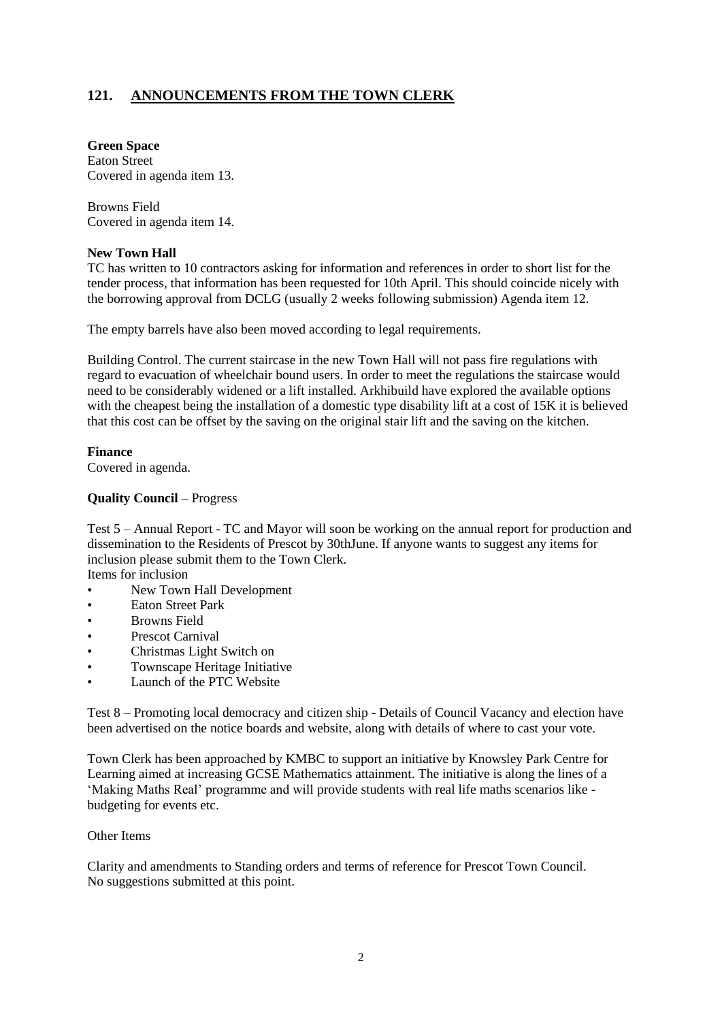# **121. ANNOUNCEMENTS FROM THE TOWN CLERK**

**Green Space**  Eaton Street Covered in agenda item 13.

Browns Field Covered in agenda item 14.

#### **New Town Hall**

TC has written to 10 contractors asking for information and references in order to short list for the tender process, that information has been requested for 10th April. This should coincide nicely with the borrowing approval from DCLG (usually 2 weeks following submission) Agenda item 12.

The empty barrels have also been moved according to legal requirements.

Building Control. The current staircase in the new Town Hall will not pass fire regulations with regard to evacuation of wheelchair bound users. In order to meet the regulations the staircase would need to be considerably widened or a lift installed. Arkhibuild have explored the available options with the cheapest being the installation of a domestic type disability lift at a cost of 15K it is believed that this cost can be offset by the saving on the original stair lift and the saving on the kitchen.

#### **Finance**

Covered in agenda.

#### **Quality Council** – Progress

Test 5 – Annual Report - TC and Mayor will soon be working on the annual report for production and dissemination to the Residents of Prescot by 30thJune. If anyone wants to suggest any items for inclusion please submit them to the Town Clerk.

Items for inclusion

- New Town Hall Development
- Eaton Street Park
- Browns Field
- Prescot Carnival
- Christmas Light Switch on
- Townscape Heritage Initiative
- Launch of the PTC Website

Test 8 – Promoting local democracy and citizen ship - Details of Council Vacancy and election have been advertised on the notice boards and website, along with details of where to cast your vote.

Town Clerk has been approached by KMBC to support an initiative by Knowsley Park Centre for Learning aimed at increasing GCSE Mathematics attainment. The initiative is along the lines of a 'Making Maths Real' programme and will provide students with real life maths scenarios like budgeting for events etc.

#### Other Items

Clarity and amendments to Standing orders and terms of reference for Prescot Town Council. No suggestions submitted at this point.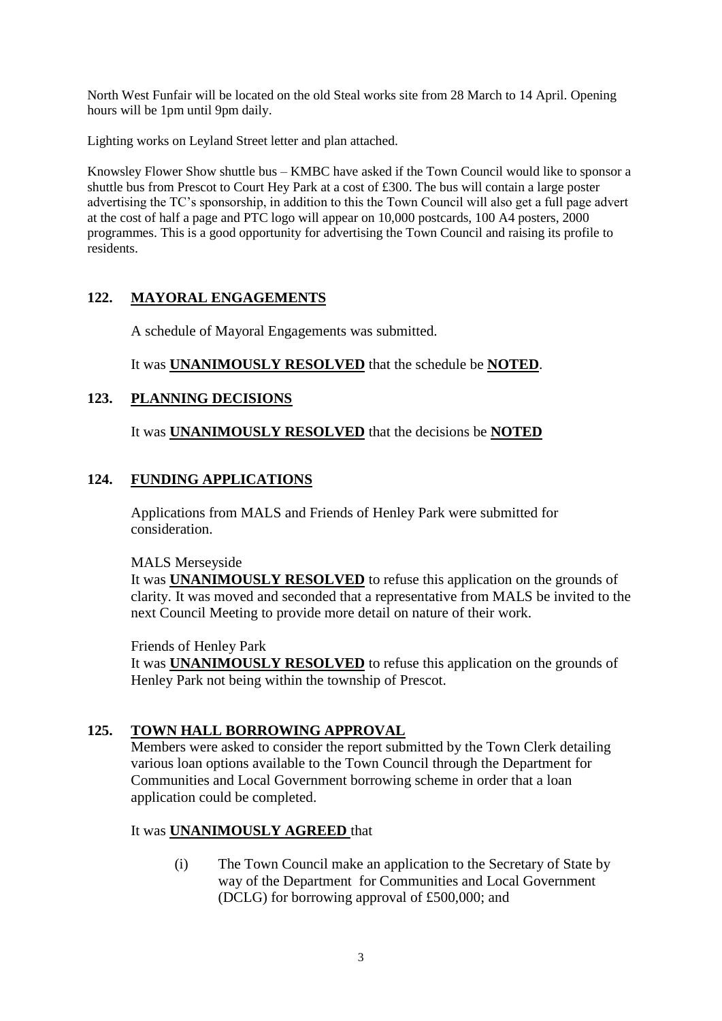North West Funfair will be located on the old Steal works site from 28 March to 14 April. Opening hours will be 1pm until 9pm daily.

Lighting works on Leyland Street letter and plan attached.

Knowsley Flower Show shuttle bus – KMBC have asked if the Town Council would like to sponsor a shuttle bus from Prescot to Court Hey Park at a cost of £300. The bus will contain a large poster advertising the TC's sponsorship, in addition to this the Town Council will also get a full page advert at the cost of half a page and PTC logo will appear on 10,000 postcards, 100 A4 posters, 2000 programmes. This is a good opportunity for advertising the Town Council and raising its profile to residents.

# **122. MAYORAL ENGAGEMENTS**

A schedule of Mayoral Engagements was submitted.

It was **UNANIMOUSLY RESOLVED** that the schedule be **NOTED**.

## **123. PLANNING DECISIONS**

It was **UNANIMOUSLY RESOLVED** that the decisions be **NOTED**

## **124. FUNDING APPLICATIONS**

Applications from MALS and Friends of Henley Park were submitted for consideration.

### MALS Merseyside

It was **UNANIMOUSLY RESOLVED** to refuse this application on the grounds of clarity. It was moved and seconded that a representative from MALS be invited to the next Council Meeting to provide more detail on nature of their work.

Friends of Henley Park

It was **UNANIMOUSLY RESOLVED** to refuse this application on the grounds of Henley Park not being within the township of Prescot.

## **125. TOWN HALL BORROWING APPROVAL**

Members were asked to consider the report submitted by the Town Clerk detailing various loan options available to the Town Council through the Department for Communities and Local Government borrowing scheme in order that a loan application could be completed.

## It was **UNANIMOUSLY AGREED** that

(i) The Town Council make an application to the Secretary of State by way of the Department for Communities and Local Government (DCLG) for borrowing approval of £500,000; and